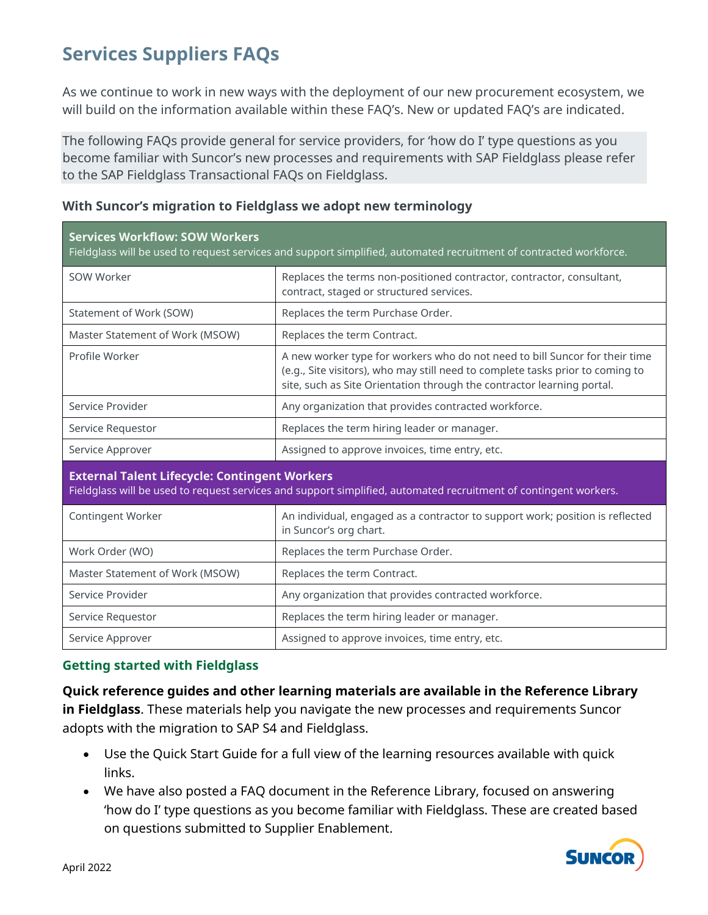# **Services Suppliers FAQs**

As we continue to work in new ways with the deployment of our new procurement ecosystem, we will build on the information available within these FAQ's. New or updated FAQ's are indicated.

The following FAQs provide general for service providers, for 'how do I' type questions as you become familiar with Suncor's new processes and requirements with SAP Fieldglass please refer to the SAP Fieldglass Transactional FAQs on Fieldglass.

| <b>Services Workflow: SOW Workers</b><br>Fieldglass will be used to request services and support simplified, automated recruitment of contracted workforce.              |                                                                                                                                                                                                                                         |
|--------------------------------------------------------------------------------------------------------------------------------------------------------------------------|-----------------------------------------------------------------------------------------------------------------------------------------------------------------------------------------------------------------------------------------|
| SOW Worker                                                                                                                                                               | Replaces the terms non-positioned contractor, contractor, consultant,<br>contract, staged or structured services.                                                                                                                       |
| Statement of Work (SOW)                                                                                                                                                  | Replaces the term Purchase Order.                                                                                                                                                                                                       |
| Master Statement of Work (MSOW)                                                                                                                                          | Replaces the term Contract.                                                                                                                                                                                                             |
| Profile Worker                                                                                                                                                           | A new worker type for workers who do not need to bill Suncor for their time<br>(e.g., Site visitors), who may still need to complete tasks prior to coming to<br>site, such as Site Orientation through the contractor learning portal. |
| Service Provider                                                                                                                                                         | Any organization that provides contracted workforce.                                                                                                                                                                                    |
| Service Requestor                                                                                                                                                        | Replaces the term hiring leader or manager.                                                                                                                                                                                             |
| Service Approver                                                                                                                                                         | Assigned to approve invoices, time entry, etc.                                                                                                                                                                                          |
| <b>External Talent Lifecycle: Contingent Workers</b><br>Fieldglass will be used to request services and support simplified, automated recruitment of contingent workers. |                                                                                                                                                                                                                                         |
| Contingent Worker                                                                                                                                                        | An individual, engaged as a contractor to support work; position is reflected<br>in Suncor's org chart.                                                                                                                                 |
| Work Order (WO)                                                                                                                                                          | Replaces the term Purchase Order.                                                                                                                                                                                                       |
| Master Statement of Work (MSOW)                                                                                                                                          | Replaces the term Contract.                                                                                                                                                                                                             |

## **With Suncor's migration to Fieldglass we adopt new terminology**

### **Getting started with Fieldglass**

**Quick reference guides and other learning materials are available in the Reference Library in Fieldglass**. These materials help you navigate the new processes and requirements Suncor adopts with the migration to SAP S4 and Fieldglass.

Service Provider **Any organization that provides contracted workforce.** 

Service Requestor **Replaces** Replaces the term hiring leader or manager. Service Approver **Assigned to approve invoices, time entry, etc.** Assigned to approve invoices, time entry, etc.

- Use the Quick Start Guide for a full view of the learning resources available with quick links.
- We have also posted a FAQ document in the Reference Library, focused on answering 'how do I' type questions as you become familiar with Fieldglass. These are created based on questions submitted to Supplier Enablement.

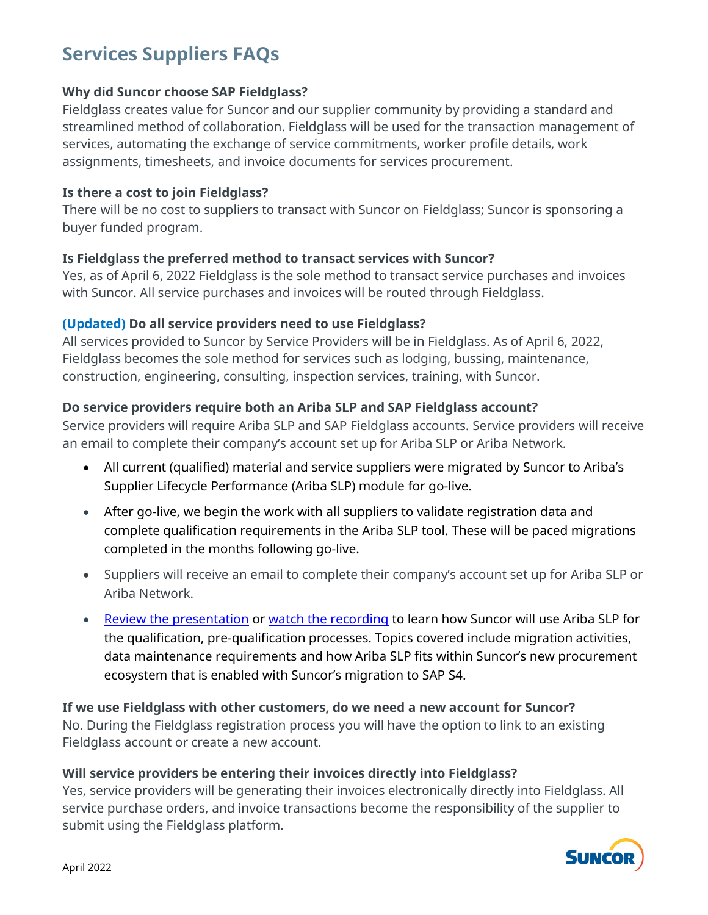# **Services Suppliers FAQs**

### **Why did Suncor choose SAP Fieldglass?**

Fieldglass creates value for Suncor and our supplier community by providing a standard and streamlined method of collaboration. Fieldglass will be used for the transaction management of services, automating the exchange of service commitments, worker profile details, work assignments, timesheets, and invoice documents for services procurement.

### **Is there a cost to join Fieldglass?**

There will be no cost to suppliers to transact with Suncor on Fieldglass; Suncor is sponsoring a buyer funded program.

### **Is Fieldglass the preferred method to transact services with Suncor?**

Yes, as of April 6, 2022 Fieldglass is the sole method to transact service purchases and invoices with Suncor. All service purchases and invoices will be routed through Fieldglass.

## **(Updated) Do all service providers need to use Fieldglass?**

All services provided to Suncor by Service Providers will be in Fieldglass. As of April 6, 2022, Fieldglass becomes the sole method for services such as lodging, bussing, maintenance, construction, engineering, consulting, inspection services, training, with Suncor.

## **Do service providers require both an Ariba SLP and SAP Fieldglass account?**

Service providers will require Ariba SLP and SAP Fieldglass accounts. Service providers will receive an email to complete their company's account set up for Ariba SLP or Ariba Network.

- All current (qualified) material and service suppliers were migrated by Suncor to Ariba's Supplier Lifecycle Performance (Ariba SLP) module for go-live.
- After go-live, we begin the work with all suppliers to validate registration data and complete qualification requirements in the Ariba SLP tool. These will be paced migrations completed in the months following go-live.
- Suppliers will receive an email to complete their company's account set up for Ariba SLP or Ariba Network.
- [Review the presentation](https://sustainability-prd-cdn.suncor.com/-/media/project/suncor/files/northern-lights-sustainment/ariba-sap/ariba-slp-suncor-info-session-en.pdf?la=en&modified=20220329) or [watch the recording](https://vimeo.com/691677968/0ec2f141f1) to learn how Suncor will use Ariba SLP for the qualification, pre-qualification processes. Topics covered include migration activities, data maintenance requirements and how Ariba SLP fits within Suncor's new procurement ecosystem that is enabled with Suncor's migration to SAP S4.

#### **If we use Fieldglass with other customers, do we need a new account for Suncor?** No. During the Fieldglass registration process you will have the option to link to an existing Fieldglass account or create a new account.

### **Will service providers be entering their invoices directly into Fieldglass?**

Yes, service providers will be generating their invoices electronically directly into Fieldglass. All service purchase orders, and invoice transactions become the responsibility of the supplier to submit using the Fieldglass platform.